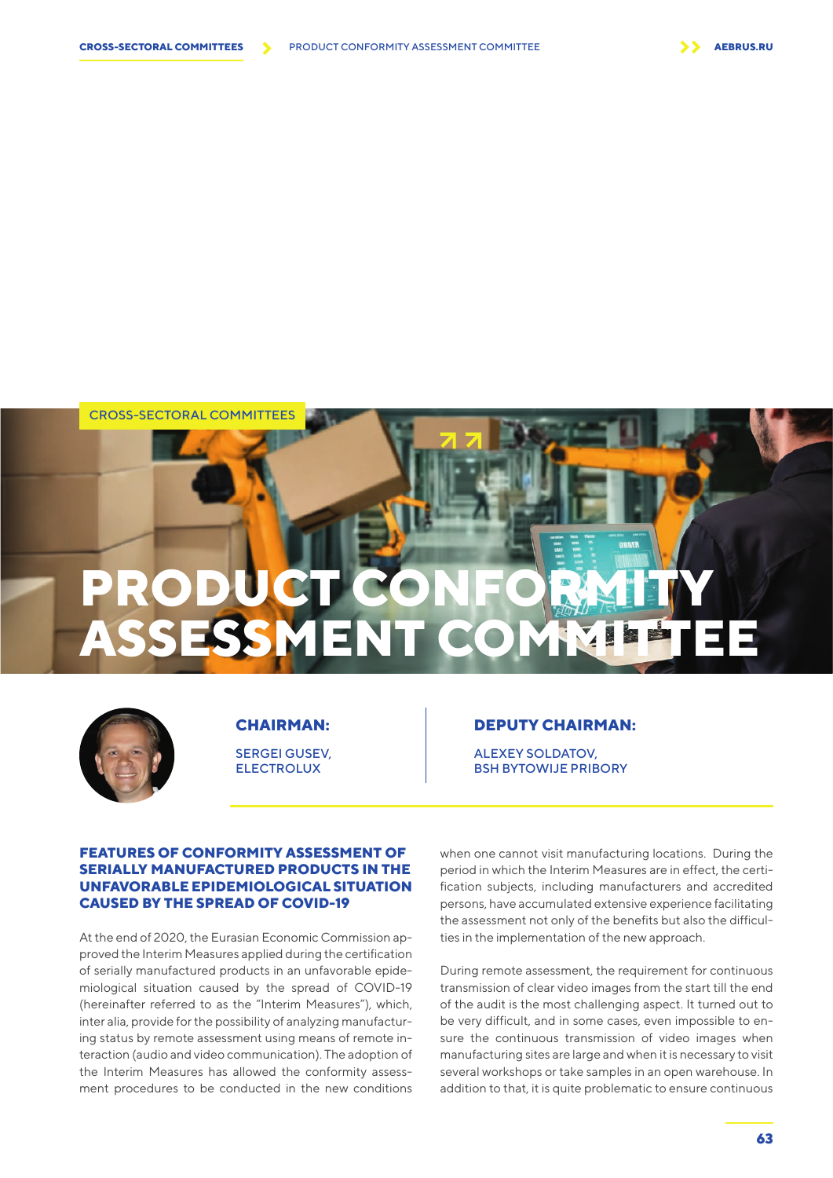CROSS-SECTORAL COMMITTEES







## **CHAIRMAN:**

SERGEI GUSEV, ELECTROLUX

## **DEPUTY CHAIRMAN:**

ALEXEY SOLDATOV, BSH BYTOWIJE PRIBORY

## **FEATURES OF CONFORMITY ASSESSMENT OF SERIALLY MANUFACTURED PRODUCTS IN THE UNFAVORABLE EPIDEMIOLOGICAL SITUATION CAUSED BY THE SPREAD OF COVID-19**

At the end of 2020, the Eurasian Economic Commission approved the Interim Measures applied during the certification of serially manufactured products in an unfavorable epidemiological situation caused by the spread of COVID-19 (hereinafter referred to as the "Interim Measures"), which, inter alia, provide for the possibility of analyzing manufacturing status by remote assessment using means of remote interaction (audio and video communication). The adoption of the Interim Measures has allowed the conformity assessment procedures to be conducted in the new conditions when one cannot visit manufacturing locations. During the period in which the Interim Measures are in effect, the certification subjects, including manufacturers and accredited persons, have accumulated extensive experience facilitating the assessment not only of the benefits but also the difficulties in the implementation of the new approach.

During remote assessment, the requirement for continuous transmission of clear video images from the start till the end of the audit is the most challenging aspect. It turned out to be very difficult, and in some cases, even impossible to ensure the continuous transmission of video images when manufacturing sites are large and when it is necessary to visit several workshops or take samples in an open warehouse. In addition to that, it is quite problematic to ensure continuous